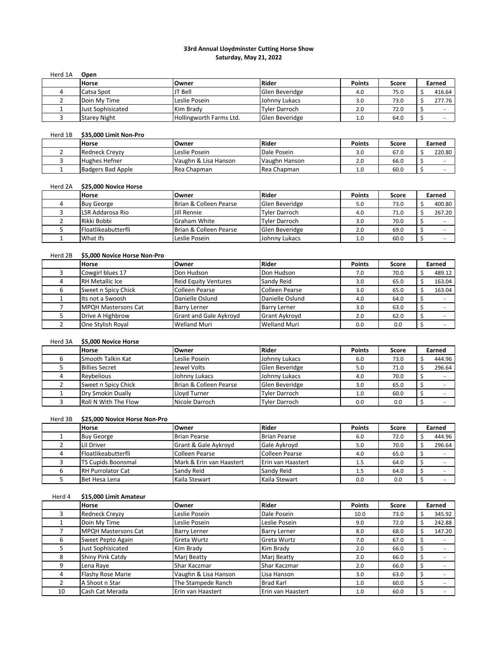## **33rd Annual Lloydminster Cutting Horse Show Saturday, May 21, 2022**

| Herd 1A | Open                |                         |                |               |       |        |
|---------|---------------------|-------------------------|----------------|---------------|-------|--------|
|         | <b>Horse</b>        | Owner                   | <b>Rider</b>   | <b>Points</b> | Score | Earned |
|         | Catsa Spot          | JT Bell                 | Glen Beveridge | 4.0           | 75.0  | 416.64 |
|         | Doin My Time        | Leslie Posein           | Johnny Lukacs  | 3.0           | 73.0  | 277.76 |
|         | Just Sophisicated   | Kim Brady               | Tyler Darroch  | 2.0           | 72.0  |        |
|         | <b>Starey Night</b> | Hollingworth Farms Ltd. | Glen Beveridge | 1.0           | 64.0  |        |

# Herd 1B **\$35,000 Limit Non-Pro**

| <b>Horse</b>          | Owner                | Rider         | <b>Points</b> | Score | Earned |
|-----------------------|----------------------|---------------|---------------|-------|--------|
| <b>Redneck Crevzy</b> | Leslie Posein        | Dale Posein   | 3.0           | 67.0  | 220.80 |
| <b>Hughes Hefner</b>  | Vaughn & Lisa Hanson | Vaughn Hanson | 2.0           | 66.0  |        |
| Badgers Bad Apple     | Rea Chapman          | Rea Chapman   | 1.0           | 60.0  |        |

#### Herd 2A **\$25,000 Novice Horse**

| <b>Horse</b>               | lOwner                 | <b>Rider</b>   | <b>Points</b> | Score | Earned |
|----------------------------|------------------------|----------------|---------------|-------|--------|
| <b>Buy George</b>          | Brian & Colleen Pearse | Glen Beveridge | 5.0           | 73.0  | 400.80 |
| LSR Addarosa Rio           | Jill Rennie            | Tyler Darroch  | 4.0           | 71.0  | 267.20 |
| Rikki Bobbi                | Graham White           | Tyler Darroch  | 3.0           | 70.0  |        |
| <b>Floatlikeabutterfli</b> | Brian & Colleen Pearse | Glen Beveridge | 2.0           | 69.0  |        |
| What Ifs                   | Leslie Posein          | Johnny Lukacs  | 1.0           | 60.0  |        |

# Herd 2B **\$5,000 Novice Horse Non-Pro**

| <b>Horse</b>               | Owner                         | <b>Rider</b>          | <b>Points</b> | Score | Earned |
|----------------------------|-------------------------------|-----------------------|---------------|-------|--------|
| Cowgirl blues 17           | Don Hudson                    | Don Hudson            | 7.0           | 70.0  | 489.12 |
| <b>RH Metallic Ice</b>     | <b>Reid Equity Ventures</b>   | Sandy Reid            | 3.0           | 65.0  | 163.04 |
| Sweet n Spicy Chick        | Colleen Pearse                | <b>Colleen Pearse</b> | 3.0           | 65.0  | 163.04 |
| Its not a Swoosh           | Danielle Oslund               | Danielle Oslund       | 4.0           | 64.0  |        |
| <b>MPQH Mastersons Cat</b> | <b>Barry Lerner</b>           | <b>Barry Lerner</b>   | 3.0           | 63.0  |        |
| Drive A Highbrow           | <b>Grant and Gale Aykroyd</b> | <b>Grant Aykroyd</b>  | 2.0           | 62.0  |        |
| One Stylish Royal          | <b>Welland Muri</b>           | <b>Welland Muri</b>   | 0.0           | 0.0   |        |

## Herd 3A **\$5,000 Novice Horse**

| <b>Horse</b>                | Owner                  | <b>Rider</b>         | <b>Points</b> | Score | Earned |
|-----------------------------|------------------------|----------------------|---------------|-------|--------|
| Smooth Talkin Kat           | Leslie Posein          | Johnny Lukacs        | 6.0           | 73.0  | 444.96 |
| <b>Billies Secret</b>       | Jewel Volts            | Glen Beveridge       | 5.0           | 71.0  | 296.64 |
| Reybelious                  | Johnny Lukacs          | Johnny Lukacs        | 4.0           | 70.0  |        |
| Sweet n Spicy Chick         | Brian & Colleen Pearse | Glen Beveridge       | 3.0           | 65.0  |        |
| Dry Smokin Dually           | Llovd Turner           | Tyler Darroch        | 1.0           | 60.0  |        |
| <b>Roll N With The Flow</b> | Nicole Darroch         | <b>Tyler Darroch</b> | 0.0           | 0.0   |        |

# Herd 3B **\$25,000 Novice Horse Non-Pro**

| <b>Horse</b>               | Owner                    | <b>Rider</b>        | <b>Points</b> | Score | Earned |
|----------------------------|--------------------------|---------------------|---------------|-------|--------|
| <b>Buy George</b>          | <b>Brian Pearse</b>      | <b>Brian Pearse</b> | 6.0           | 72.0  | 444.96 |
| Lil Driver                 | Grant & Gale Aykroyd     | Gale Avkrovd        | 5.0           | 70.0  | 296.64 |
| <b>Floatlikeabutterfli</b> | Colleen Pearse           | Colleen Pearse      | 4.0           | 65.0  |        |
| <b>TS Cupids Boonsmal</b>  | Mark & Erin van Haastert | Erin van Haastert   | 1.5           | 64.0  |        |
| <b>RH Purrolator Cat</b>   | Sandy Reid               | Sandy Reid          | 1.5           | 64.0  |        |
| Bet Hesa Lena              | Kaila Stewart            | Kaila Stewart       | 0.0           | 0.0   |        |

#### Herd 4 **\$15,000 Limit Amateur**

|    | <b>Horse</b>               | Owner                | Rider               | <b>Points</b> | Score | Earned |
|----|----------------------------|----------------------|---------------------|---------------|-------|--------|
|    | <b>Redneck Crevzy</b>      | Leslie Posein        | Dale Posein         | 10.0          | 73.0  | 345.92 |
|    | Doin My Time               | Leslie Posein        | Leslie Posein       | 9.0           | 72.0  | 242.88 |
|    | <b>MPQH Mastersons Cat</b> | <b>Barry Lerner</b>  | <b>Barry Lerner</b> | 8.0           | 68.0  | 147.20 |
| 6  | Sweet Pepto Again          | Greta Wurtz          | Greta Wurtz         | 7.0           | 67.0  |        |
|    | Just Sophisicated          | Kim Brady            | Kim Brady           | 2.0           | 66.0  |        |
| 8  | Shiny Pink Catdy           | Marj Beatty          | Marj Beatty         | 2.0           | 66.0  |        |
|    | Lena Raye                  | Shar Kaczmar         | Shar Kaczmar        | 2.0           | 66.0  |        |
| 4  | <b>Flashy Rose Marie</b>   | Vaughn & Lisa Hanson | Lisa Hanson         | 3.0           | 63.0  |        |
|    | A Shoot n Star             | The Stampede Ranch   | <b>Brad Karl</b>    | 1.0           | 60.0  |        |
| 10 | Cash Cat Merada            | Erin van Haastert    | Erin van Haastert   | 1.0           | 60.0  |        |